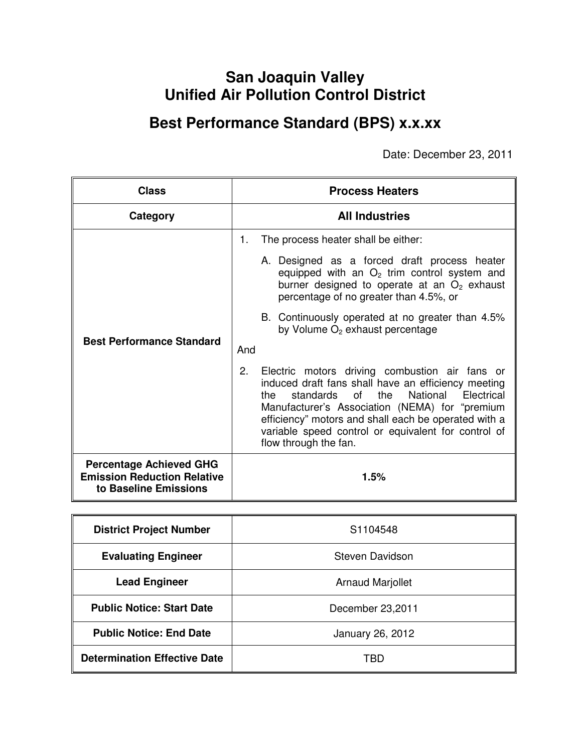# **San Joaquin Valley Unified Air Pollution Control District**

# **Best Performance Standard (BPS) x.x.xx**

Date: December 23, 2011

| <b>Class</b>                                                                                  | <b>Process Heaters</b>                                                                                                                                                                                                                                                                                                                                             |  |
|-----------------------------------------------------------------------------------------------|--------------------------------------------------------------------------------------------------------------------------------------------------------------------------------------------------------------------------------------------------------------------------------------------------------------------------------------------------------------------|--|
| Category                                                                                      | <b>All Industries</b>                                                                                                                                                                                                                                                                                                                                              |  |
|                                                                                               | The process heater shall be either:<br>1.                                                                                                                                                                                                                                                                                                                          |  |
|                                                                                               | A. Designed as a forced draft process heater<br>equipped with an $O2$ trim control system and<br>burner designed to operate at an $O2$ exhaust<br>percentage of no greater than 4.5%, or                                                                                                                                                                           |  |
| <b>Best Performance Standard</b>                                                              | B. Continuously operated at no greater than 4.5%<br>by Volume O <sub>2</sub> exhaust percentage                                                                                                                                                                                                                                                                    |  |
|                                                                                               | And                                                                                                                                                                                                                                                                                                                                                                |  |
|                                                                                               | 2.<br>Electric motors driving combustion air fans or<br>induced draft fans shall have an efficiency meeting<br>of c<br>the<br>National<br>standards<br>Electrical<br>the<br>Manufacturer's Association (NEMA) for "premium<br>efficiency" motors and shall each be operated with a<br>variable speed control or equivalent for control of<br>flow through the fan. |  |
| <b>Percentage Achieved GHG</b><br><b>Emission Reduction Relative</b><br>to Baseline Emissions | $1.5\%$                                                                                                                                                                                                                                                                                                                                                            |  |

| <b>District Project Number</b>      | S <sub>1104548</sub>    |  |
|-------------------------------------|-------------------------|--|
| <b>Evaluating Engineer</b>          | Steven Davidson         |  |
| <b>Lead Engineer</b>                | <b>Arnaud Marjollet</b> |  |
| <b>Public Notice: Start Date</b>    | December 23,2011        |  |
| <b>Public Notice: End Date</b>      | January 26, 2012        |  |
| <b>Determination Effective Date</b> | TBD                     |  |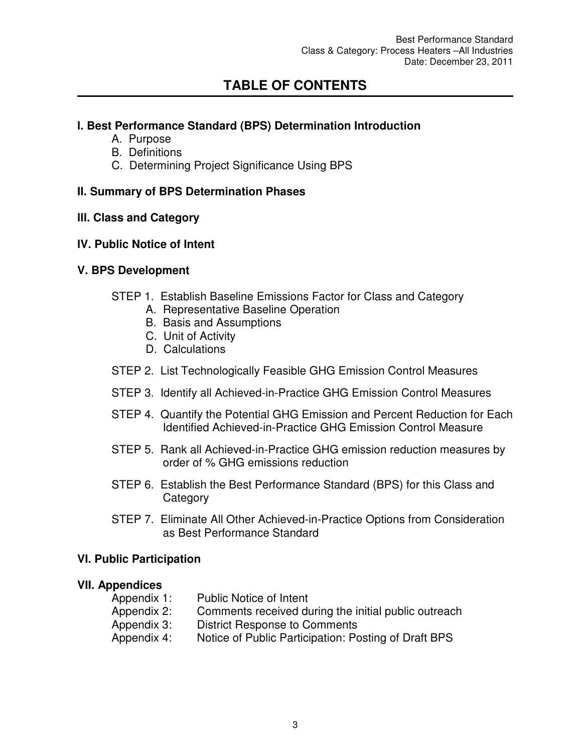## **TABLE OF CONTENTS**

#### **l. Best Performance Standard (BPS) Determination Introduction**

- A. Purpose
- B. Definitions
- C. Determining Project Significance Using BPS

#### **II. Summary of BPS Determination Phases**

#### **lll. Class and Category**

#### **lV. Public Notice of Intent**

#### **V. BPS Development**

- STEP 1. Establish Baseline Emissions Factor for Class and Category
	- A. Representative Baseline Operation
	- B. Basis and Assumptions
	- C. Unit of Activity
	- D. Calculations
- STEP 2. List Technologically Feasible GHG Emission Control Measures
- STEP 3. Identify all Achieved-in-Practice GHG Emission Control Measures
- STEP 4. Quantify the Potential GHG Emission and Percent Reduction for Each Identified Achieved-in-Practice GHG Emission Control Measure
- STEP 5. Rank all Achieved-in-Practice GHG emission reduction measures by order of % GHG emissions reduction
- STEP 6. Establish the Best Performance Standard (BPS) for this Class and **Category**
- STEP 7. Eliminate All Other Achieved-in-Practice Options from Consideration as Best Performance Standard

#### **VI. Public Participation**

#### **VII. Appendices**

| Appendix 1: | <b>Public Notice of Intent</b>                       |
|-------------|------------------------------------------------------|
| Appendix 2: | Comments received during the initial public outreach |
| Appendix 3: | District Response to Comments                        |
| Appendix 4: | Notice of Public Participation: Posting of Draft BPS |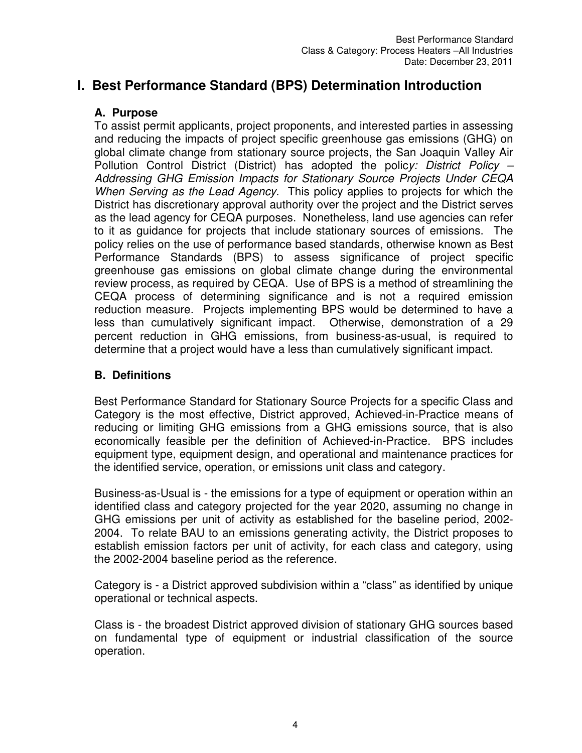## **I. Best Performance Standard (BPS) Determination Introduction**

#### **A. Purpose**

To assist permit applicants, project proponents, and interested parties in assessing and reducing the impacts of project specific greenhouse gas emissions (GHG) on global climate change from stationary source projects, the San Joaquin Valley Air Pollution Control District (District) has adopted the polic*y: District Policy – Addressing GHG Emission Impacts for Stationary Source Projects Under CEQA When Serving as the Lead Agency.* This policy applies to projects for which the District has discretionary approval authority over the project and the District serves as the lead agency for CEQA purposes. Nonetheless, land use agencies can refer to it as guidance for projects that include stationary sources of emissions. The policy relies on the use of performance based standards, otherwise known as Best Performance Standards (BPS) to assess significance of project specific greenhouse gas emissions on global climate change during the environmental review process, as required by CEQA. Use of BPS is a method of streamlining the CEQA process of determining significance and is not a required emission reduction measure. Projects implementing BPS would be determined to have a less than cumulatively significant impact. Otherwise, demonstration of a 29 percent reduction in GHG emissions, from business-as-usual, is required to determine that a project would have a less than cumulatively significant impact.

### **B. Definitions**

Best Performance Standard for Stationary Source Projects for a specific Class and Category is the most effective, District approved, Achieved-in-Practice means of reducing or limiting GHG emissions from a GHG emissions source, that is also economically feasible per the definition of Achieved-in-Practice. BPS includes equipment type, equipment design, and operational and maintenance practices for the identified service, operation, or emissions unit class and category.

Business-as-Usual is - the emissions for a type of equipment or operation within an identified class and category projected for the year 2020, assuming no change in GHG emissions per unit of activity as established for the baseline period, 2002- 2004. To relate BAU to an emissions generating activity, the District proposes to establish emission factors per unit of activity, for each class and category, using the 2002-2004 baseline period as the reference.

Category is - a District approved subdivision within a "class" as identified by unique operational or technical aspects.

Class is - the broadest District approved division of stationary GHG sources based on fundamental type of equipment or industrial classification of the source operation.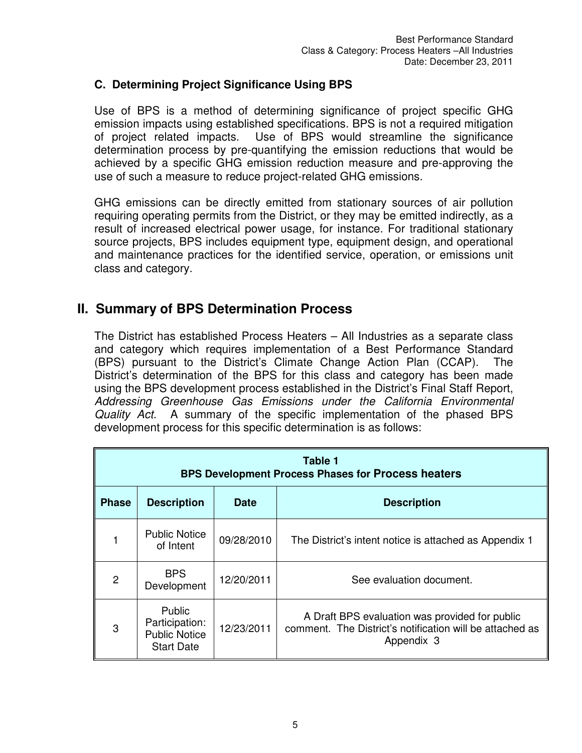#### **C. Determining Project Significance Using BPS**

Use of BPS is a method of determining significance of project specific GHG emission impacts using established specifications. BPS is not a required mitigation of project related impacts. Use of BPS would streamline the significance determination process by pre-quantifying the emission reductions that would be achieved by a specific GHG emission reduction measure and pre-approving the use of such a measure to reduce project-related GHG emissions.

GHG emissions can be directly emitted from stationary sources of air pollution requiring operating permits from the District, or they may be emitted indirectly, as a result of increased electrical power usage, for instance. For traditional stationary source projects, BPS includes equipment type, equipment design, and operational and maintenance practices for the identified service, operation, or emissions unit class and category.

### **II. Summary of BPS Determination Process**

The District has established Process Heaters – All Industries as a separate class and category which requires implementation of a Best Performance Standard (BPS) pursuant to the District's Climate Change Action Plan (CCAP). The District's determination of the BPS for this class and category has been made using the BPS development process established in the District's Final Staff Report, *Addressing Greenhouse Gas Emissions under the California Environmental Quality Act.* A summary of the specific implementation of the phased BPS development process for this specific determination is as follows:

| Table 1<br><b>BPS Development Process Phases for Process heaters</b>    |                                                                       |            |                                                                                                                          |  |
|-------------------------------------------------------------------------|-----------------------------------------------------------------------|------------|--------------------------------------------------------------------------------------------------------------------------|--|
| <b>Phase</b><br><b>Description</b><br><b>Description</b><br><b>Date</b> |                                                                       |            |                                                                                                                          |  |
|                                                                         | <b>Public Notice</b><br>of Intent                                     | 09/28/2010 | The District's intent notice is attached as Appendix 1                                                                   |  |
| 2                                                                       | <b>BPS</b><br>Development                                             | 12/20/2011 | See evaluation document.                                                                                                 |  |
| 3                                                                       | Public<br>Participation:<br><b>Public Notice</b><br><b>Start Date</b> | 12/23/2011 | A Draft BPS evaluation was provided for public<br>comment. The District's notification will be attached as<br>Appendix 3 |  |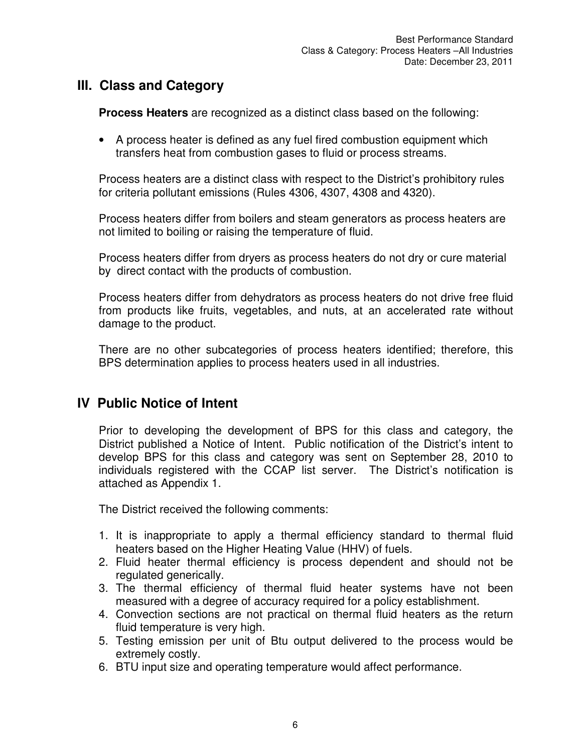## **III. Class and Category**

**Process Heaters** are recognized as a distinct class based on the following:

• A process heater is defined as any fuel fired combustion equipment which transfers heat from combustion gases to fluid or process streams.

Process heaters are a distinct class with respect to the District's prohibitory rules for criteria pollutant emissions (Rules 4306, 4307, 4308 and 4320).

Process heaters differ from boilers and steam generators as process heaters are not limited to boiling or raising the temperature of fluid.

Process heaters differ from dryers as process heaters do not dry or cure material by direct contact with the products of combustion.

Process heaters differ from dehydrators as process heaters do not drive free fluid from products like fruits, vegetables, and nuts, at an accelerated rate without damage to the product.

There are no other subcategories of process heaters identified; therefore, this BPS determination applies to process heaters used in all industries.

## **IV Public Notice of Intent**

Prior to developing the development of BPS for this class and category, the District published a Notice of Intent. Public notification of the District's intent to develop BPS for this class and category was sent on September 28, 2010 to individuals registered with the CCAP list server. The District's notification is attached as Appendix 1.

The District received the following comments:

- 1. It is inappropriate to apply a thermal efficiency standard to thermal fluid heaters based on the Higher Heating Value (HHV) of fuels.
- 2. Fluid heater thermal efficiency is process dependent and should not be regulated generically.
- 3. The thermal efficiency of thermal fluid heater systems have not been measured with a degree of accuracy required for a policy establishment.
- 4. Convection sections are not practical on thermal fluid heaters as the return fluid temperature is very high.
- 5. Testing emission per unit of Btu output delivered to the process would be extremely costly.
- 6. BTU input size and operating temperature would affect performance.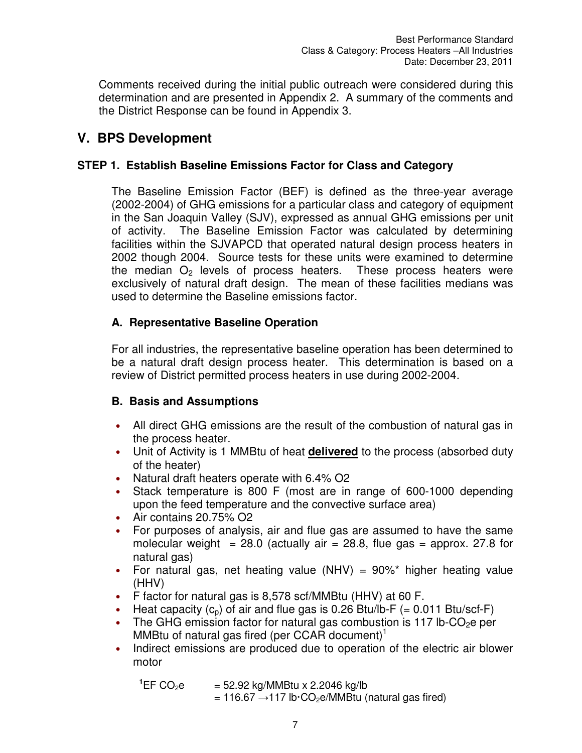Comments received during the initial public outreach were considered during this determination and are presented in Appendix 2. A summary of the comments and the District Response can be found in Appendix 3.

## **V. BPS Development**

## **STEP 1. Establish Baseline Emissions Factor for Class and Category**

The Baseline Emission Factor (BEF) is defined as the three-year average (2002-2004) of GHG emissions for a particular class and category of equipment in the San Joaquin Valley (SJV), expressed as annual GHG emissions per unit of activity. The Baseline Emission Factor was calculated by determining facilities within the SJVAPCD that operated natural design process heaters in 2002 though 2004. Source tests for these units were examined to determine the median  $O<sub>2</sub>$  levels of process heaters. These process heaters were exclusively of natural draft design. The mean of these facilities medians was used to determine the Baseline emissions factor.

## **A. Representative Baseline Operation**

For all industries, the representative baseline operation has been determined to be a natural draft design process heater. This determination is based on a review of District permitted process heaters in use during 2002-2004*.*

### **B. Basis and Assumptions**

- All direct GHG emissions are the result of the combustion of natural gas in the process heater.
- Unit of Activity is 1 MMBtu of heat **delivered** to the process (absorbed duty of the heater)
- Natural draft heaters operate with 6.4% O2
- Stack temperature is 800 F (most are in range of 600-1000 depending upon the feed temperature and the convective surface area)
- Air contains 20.75% O2
- For purposes of analysis, air and flue gas are assumed to have the same molecular weight =  $28.0$  (actually air =  $28.8$ , flue gas = approx. 27.8 for natural gas)
- For natural gas, net heating value (NHV) =  $90\%$ <sup>\*</sup> higher heating value (HHV)
- F factor for natural gas is 8,578 scf/MMBtu (HHV) at 60 F.
- Heat capacity  $(c_p)$  of air and flue gas is 0.26 Btu/lb-F (= 0.011 Btu/scf-F)
- The GHG emission factor for natural gas combustion is 117 lb-CO<sub>2</sub>e per MMBtu of natural gas fired (per CCAR document)<sup>1</sup>
- Indirect emissions are produced due to operation of the electric air blower motor

| $^1$ EF CO <sub>2</sub> e | $=$ 52.92 kg/MMBtu x 2.2046 kg/lb                                                 |  |
|---------------------------|-----------------------------------------------------------------------------------|--|
|                           | $= 116.67 \rightarrow 117$ lb $\cdot$ CO <sub>2</sub> e/MMBtu (natural gas fired) |  |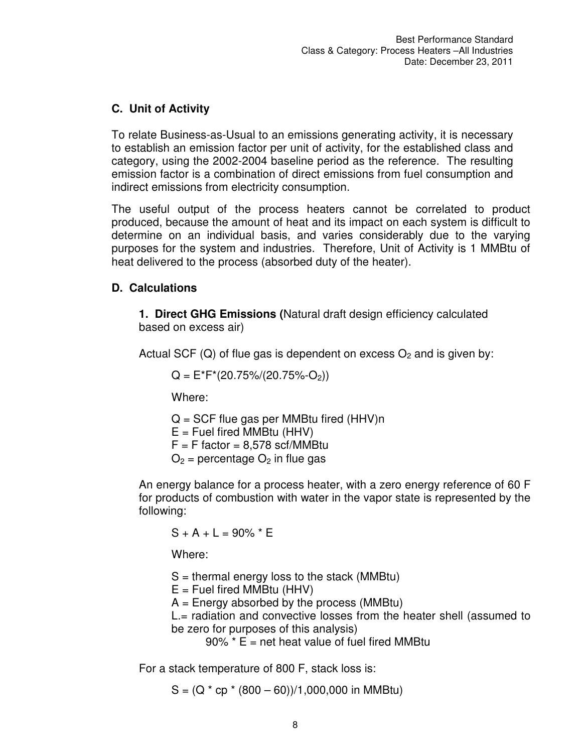## **C. Unit of Activity**

To relate Business-as-Usual to an emissions generating activity, it is necessary to establish an emission factor per unit of activity, for the established class and category, using the 2002-2004 baseline period as the reference. The resulting emission factor is a combination of direct emissions from fuel consumption and indirect emissions from electricity consumption.

The useful output of the process heaters cannot be correlated to product produced, because the amount of heat and its impact on each system is difficult to determine on an individual basis, and varies considerably due to the varying purposes for the system and industries. Therefore, Unit of Activity is 1 MMBtu of heat delivered to the process (absorbed duty of the heater).

### **D. Calculations**

**1. Direct GHG Emissions (**Natural draft design efficiency calculated based on excess air)

Actual SCF (Q) of flue gas is dependent on excess  $O_2$  and is given by:

 $Q = E^*F^*(20.75\%/20.75\%-O_2)$ 

Where:

 $Q = SCF$  flue gas per MMBtu fired (HHV)n  $E =$  Fuel fired MMBtu (HHV)

 $F = F$  factor = 8.578 scf/MMBtu

 $O_2$  = percentage  $O_2$  in flue gas

An energy balance for a process heater, with a zero energy reference of 60 F for products of combustion with water in the vapor state is represented by the following:

 $S + A + L = 90\%$  \* E

Where:

 $S =$  thermal energy loss to the stack (MMBtu)

 $E =$  Fuel fired MMBtu (HHV)

 $A =$  Energy absorbed by the process (MMBtu)

L.= radiation and convective losses from the heater shell (assumed to be zero for purposes of this analysis)

 $90\%$  \* E = net heat value of fuel fired MMBtu

For a stack temperature of 800 F, stack loss is:

 $S = (Q * cp * (800 - 60))/1,000,000$  in MMBtu)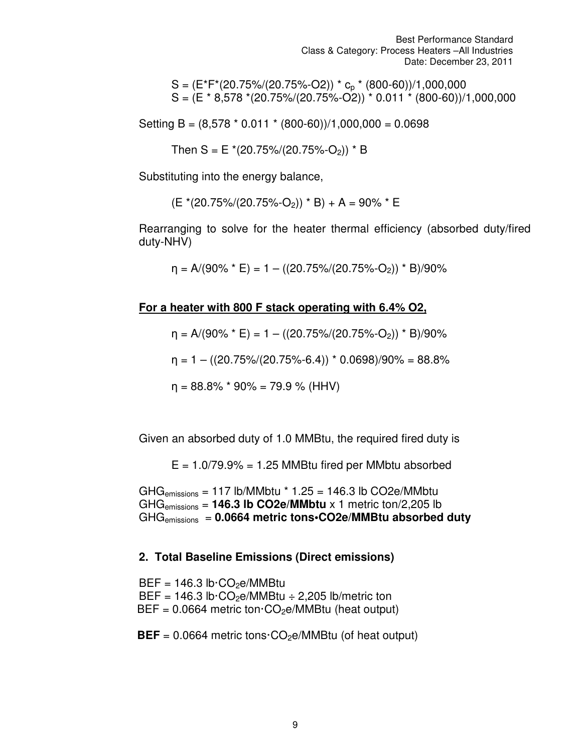Best Performance Standard Class & Category: Process Heaters –All Industries Date: December 23, 2011

 $S = (E^*F^*(20.75\%/20.75\%-O2))$  \*  $c_p$  \* (800-60))/1,000,000  $S = (E * 8.578 * (20.75%/20.75%-O2)) * 0.011 * (800-60))/1,000,000$ 

Setting B =  $(8,578 * 0.011 * (800-60))/1,000,000 = 0.0698$ 

Then  $S = E*(20.75\%/20.75\%-O_2)) * B$ 

Substituting into the energy balance,

 $(E*(20.75)/(20.75\,-O_2))$  \* B + A = 90% \* E

Rearranging to solve for the heater thermal efficiency (absorbed duty/fired duty-NHV)

 $\eta = A/(90\% * E) = 1 - ((20.75\%/20.75\%-O_2)) * B)/90\%$ 

**For a heater with 800 F stack operating with 6.4% O2,** 

 $\eta = A/(90\% * E) = 1 - ((20.75\%/20.75\% - O_2)) * B)/90\%$ 

 $\eta = 1 - ((20.75\%/20.75\%-6.4)) * 0.0698)/90\% = 88.8\%$ 

 $\eta = 88.8\%$  \* 90% = 79.9 % (HHV)

Given an absorbed duty of 1.0 MMBtu, the required fired duty is

 $E = 1.079.9\% = 1.25$  MMBtu fired per MMbtu absorbed

GHG<sub>emissions</sub> = 117 lb/MMbtu  $*$  1.25 = 146.3 lb CO2e/MMbtu GHGemissions = **146.3 lb CO2e/MMbtu** x 1 metric ton/2,205 lb GHGemissions = **0.0664 metric tons•CO2e/MMBtu absorbed duty**

#### **2. Total Baseline Emissions (Direct emissions)**

 $BEF = 146.3$  lb $\cdot$ CO<sub>2</sub>e/MMBtu BEF =  $146.3$  lb·CO<sub>2</sub>e/MMBtu  $\div$  2,205 lb/metric ton  $BEF = 0.0664$  metric ton  $CO<sub>2</sub>e/MMB$ tu (heat output)

 $BEF = 0.0664$  metric tons $\cdot CO_2e/MMB$ tu (of heat output)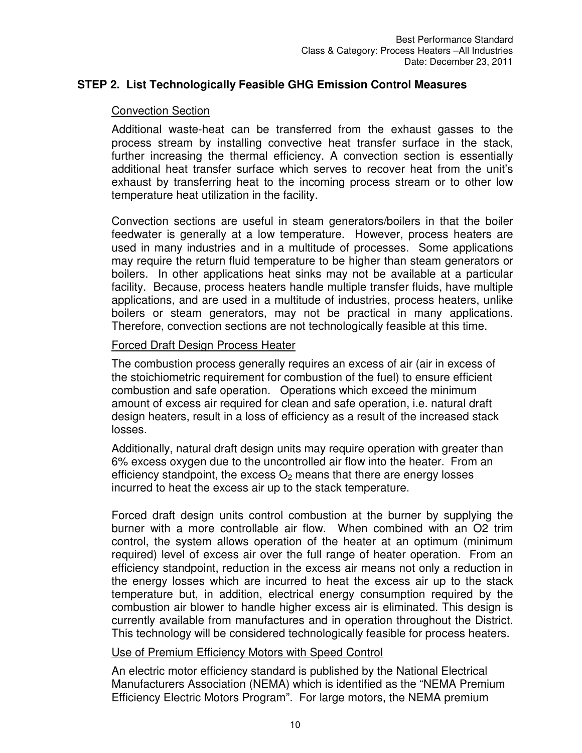#### **STEP 2. List Technologically Feasible GHG Emission Control Measures**

#### Convection Section

Additional waste-heat can be transferred from the exhaust gasses to the process stream by installing convective heat transfer surface in the stack, further increasing the thermal efficiency. A convection section is essentially additional heat transfer surface which serves to recover heat from the unit's exhaust by transferring heat to the incoming process stream or to other low temperature heat utilization in the facility.

Convection sections are useful in steam generators/boilers in that the boiler feedwater is generally at a low temperature. However, process heaters are used in many industries and in a multitude of processes. Some applications may require the return fluid temperature to be higher than steam generators or boilers. In other applications heat sinks may not be available at a particular facility. Because, process heaters handle multiple transfer fluids, have multiple applications, and are used in a multitude of industries, process heaters, unlike boilers or steam generators, may not be practical in many applications. Therefore, convection sections are not technologically feasible at this time.

#### Forced Draft Design Process Heater

The combustion process generally requires an excess of air (air in excess of the stoichiometric requirement for combustion of the fuel) to ensure efficient combustion and safe operation. Operations which exceed the minimum amount of excess air required for clean and safe operation, i.e. natural draft design heaters, result in a loss of efficiency as a result of the increased stack losses.

Additionally, natural draft design units may require operation with greater than 6% excess oxygen due to the uncontrolled air flow into the heater. From an efficiency standpoint, the excess  $O_2$  means that there are energy losses incurred to heat the excess air up to the stack temperature.

Forced draft design units control combustion at the burner by supplying the burner with a more controllable air flow. When combined with an O2 trim control, the system allows operation of the heater at an optimum (minimum required) level of excess air over the full range of heater operation. From an efficiency standpoint, reduction in the excess air means not only a reduction in the energy losses which are incurred to heat the excess air up to the stack temperature but, in addition, electrical energy consumption required by the combustion air blower to handle higher excess air is eliminated. This design is currently available from manufactures and in operation throughout the District. This technology will be considered technologically feasible for process heaters.

#### Use of Premium Efficiency Motors with Speed Control

An electric motor efficiency standard is published by the National Electrical Manufacturers Association (NEMA) which is identified as the "NEMA Premium Efficiency Electric Motors Program". For large motors, the NEMA premium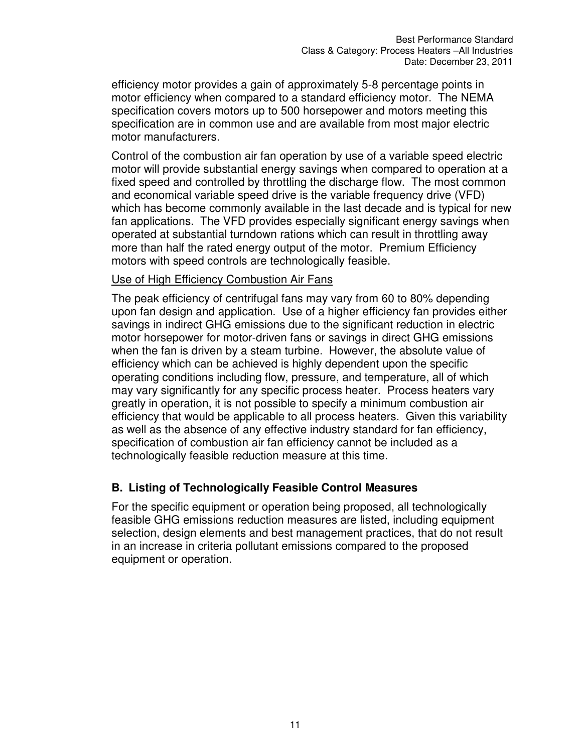efficiency motor provides a gain of approximately 5-8 percentage points in motor efficiency when compared to a standard efficiency motor. The NEMA specification covers motors up to 500 horsepower and motors meeting this specification are in common use and are available from most major electric motor manufacturers.

Control of the combustion air fan operation by use of a variable speed electric motor will provide substantial energy savings when compared to operation at a fixed speed and controlled by throttling the discharge flow. The most common and economical variable speed drive is the variable frequency drive (VFD) which has become commonly available in the last decade and is typical for new fan applications. The VFD provides especially significant energy savings when operated at substantial turndown rations which can result in throttling away more than half the rated energy output of the motor. Premium Efficiency motors with speed controls are technologically feasible.

#### Use of High Efficiency Combustion Air Fans

The peak efficiency of centrifugal fans may vary from 60 to 80% depending upon fan design and application. Use of a higher efficiency fan provides either savings in indirect GHG emissions due to the significant reduction in electric motor horsepower for motor-driven fans or savings in direct GHG emissions when the fan is driven by a steam turbine. However, the absolute value of efficiency which can be achieved is highly dependent upon the specific operating conditions including flow, pressure, and temperature, all of which may vary significantly for any specific process heater. Process heaters vary greatly in operation, it is not possible to specify a minimum combustion air efficiency that would be applicable to all process heaters. Given this variability as well as the absence of any effective industry standard for fan efficiency, specification of combustion air fan efficiency cannot be included as a technologically feasible reduction measure at this time.

#### **B. Listing of Technologically Feasible Control Measures**

For the specific equipment or operation being proposed, all technologically feasible GHG emissions reduction measures are listed, including equipment selection, design elements and best management practices, that do not result in an increase in criteria pollutant emissions compared to the proposed equipment or operation.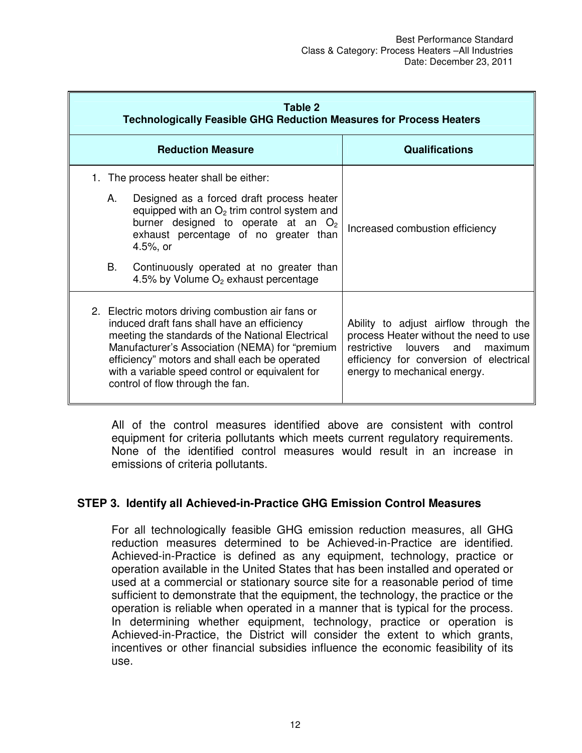| Table 2<br><b>Technologically Feasible GHG Reduction Measures for Process Heaters</b>                                                                                                                                                                                                                                                          |                                                                                                                                                                                                                                                                                              |                                                                                                                                                                                                        |  |
|------------------------------------------------------------------------------------------------------------------------------------------------------------------------------------------------------------------------------------------------------------------------------------------------------------------------------------------------|----------------------------------------------------------------------------------------------------------------------------------------------------------------------------------------------------------------------------------------------------------------------------------------------|--------------------------------------------------------------------------------------------------------------------------------------------------------------------------------------------------------|--|
|                                                                                                                                                                                                                                                                                                                                                | <b>Reduction Measure</b>                                                                                                                                                                                                                                                                     | <b>Qualifications</b>                                                                                                                                                                                  |  |
|                                                                                                                                                                                                                                                                                                                                                | 1. The process heater shall be either:                                                                                                                                                                                                                                                       |                                                                                                                                                                                                        |  |
|                                                                                                                                                                                                                                                                                                                                                | А.<br>Designed as a forced draft process heater<br>equipped with an $O2$ trim control system and<br>burner designed to operate at an $O_2$<br>exhaust percentage of no greater than<br>4.5%, or<br>В.<br>Continuously operated at no greater than<br>4.5% by Volume $O_2$ exhaust percentage | Increased combustion efficiency                                                                                                                                                                        |  |
| 2. Electric motors driving combustion air fans or<br>induced draft fans shall have an efficiency<br>meeting the standards of the National Electrical<br>Manufacturer's Association (NEMA) for "premium<br>efficiency" motors and shall each be operated<br>with a variable speed control or equivalent for<br>control of flow through the fan. |                                                                                                                                                                                                                                                                                              | Ability to adjust airflow through the<br>process Heater without the need to use<br>restrictive<br>louvers<br>and<br>maximum<br>efficiency for conversion of electrical<br>energy to mechanical energy. |  |

All of the control measures identified above are consistent with control equipment for criteria pollutants which meets current regulatory requirements. None of the identified control measures would result in an increase in emissions of criteria pollutants.

#### **STEP 3. Identify all Achieved-in-Practice GHG Emission Control Measures**

For all technologically feasible GHG emission reduction measures, all GHG reduction measures determined to be Achieved-in-Practice are identified. Achieved-in-Practice is defined as any equipment, technology, practice or operation available in the United States that has been installed and operated or used at a commercial or stationary source site for a reasonable period of time sufficient to demonstrate that the equipment, the technology, the practice or the operation is reliable when operated in a manner that is typical for the process. In determining whether equipment, technology, practice or operation is Achieved-in-Practice, the District will consider the extent to which grants, incentives or other financial subsidies influence the economic feasibility of its use.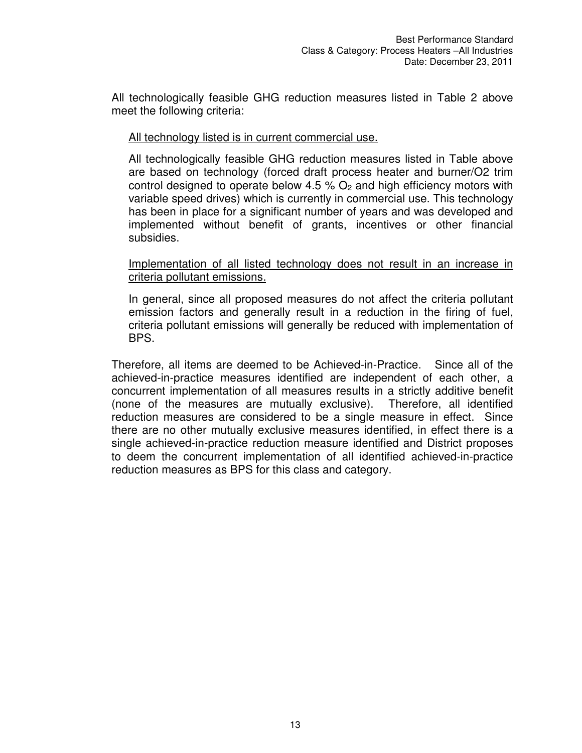All technologically feasible GHG reduction measures listed in Table 2 above meet the following criteria:

#### All technology listed is in current commercial use.

All technologically feasible GHG reduction measures listed in Table above are based on technology (forced draft process heater and burner/O2 trim control designed to operate below 4.5 %  $O<sub>2</sub>$  and high efficiency motors with variable speed drives) which is currently in commercial use. This technology has been in place for a significant number of years and was developed and implemented without benefit of grants, incentives or other financial subsidies.

#### Implementation of all listed technology does not result in an increase in criteria pollutant emissions.

In general, since all proposed measures do not affect the criteria pollutant emission factors and generally result in a reduction in the firing of fuel, criteria pollutant emissions will generally be reduced with implementation of BPS.

Therefore, all items are deemed to be Achieved-in-Practice. Since all of the achieved-in-practice measures identified are independent of each other, a concurrent implementation of all measures results in a strictly additive benefit (none of the measures are mutually exclusive). Therefore, all identified reduction measures are considered to be a single measure in effect. Since there are no other mutually exclusive measures identified, in effect there is a single achieved-in-practice reduction measure identified and District proposes to deem the concurrent implementation of all identified achieved-in-practice reduction measures as BPS for this class and category.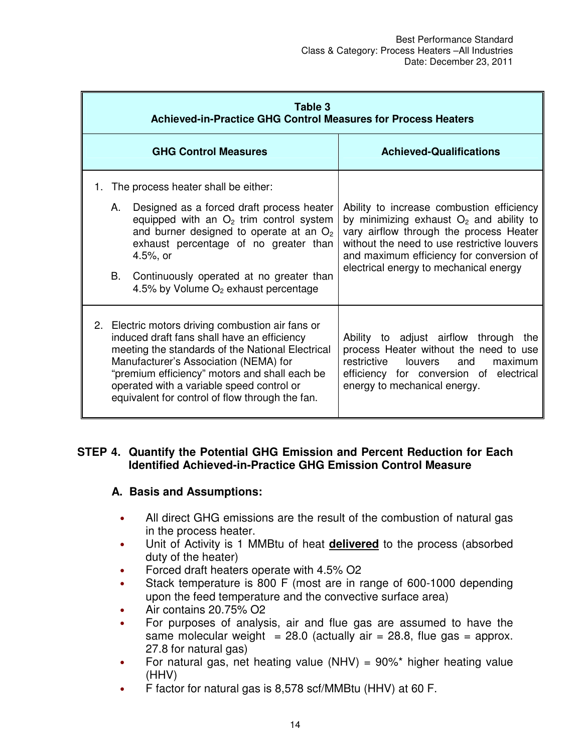|    | Table 3<br><b>Achieved-in-Practice GHG Control Measures for Process Heaters</b>                                                                                                                                                                                                                                                                |                                                                                                                                                                                                                                                                                                                       |                                                                                                                                                                                                                                                                        |  |  |
|----|------------------------------------------------------------------------------------------------------------------------------------------------------------------------------------------------------------------------------------------------------------------------------------------------------------------------------------------------|-----------------------------------------------------------------------------------------------------------------------------------------------------------------------------------------------------------------------------------------------------------------------------------------------------------------------|------------------------------------------------------------------------------------------------------------------------------------------------------------------------------------------------------------------------------------------------------------------------|--|--|
|    |                                                                                                                                                                                                                                                                                                                                                | <b>GHG Control Measures</b>                                                                                                                                                                                                                                                                                           | <b>Achieved-Qualifications</b>                                                                                                                                                                                                                                         |  |  |
| 1. | А.<br>В.                                                                                                                                                                                                                                                                                                                                       | The process heater shall be either:<br>Designed as a forced draft process heater<br>equipped with an $O2$ trim control system<br>and burner designed to operate at an $O2$<br>exhaust percentage of no greater than<br>4.5%, or<br>Continuously operated at no greater than<br>4.5% by Volume $O2$ exhaust percentage | Ability to increase combustion efficiency<br>by minimizing exhaust $O2$ and ability to<br>vary airflow through the process Heater<br>without the need to use restrictive louvers<br>and maximum efficiency for conversion of<br>electrical energy to mechanical energy |  |  |
|    | 2. Electric motors driving combustion air fans or<br>induced draft fans shall have an efficiency<br>meeting the standards of the National Electrical<br>Manufacturer's Association (NEMA) for<br>"premium efficiency" motors and shall each be<br>operated with a variable speed control or<br>equivalent for control of flow through the fan. |                                                                                                                                                                                                                                                                                                                       | Ability to adjust airflow through<br>the<br>process Heater without the need to use<br>louvers<br>restrictive<br>and<br>maximum<br>efficiency for conversion of electrical<br>energy to mechanical energy.                                                              |  |  |

#### **STEP 4. Quantify the Potential GHG Emission and Percent Reduction for Each Identified Achieved-in-Practice GHG Emission Control Measure**

#### **A. Basis and Assumptions:**

- All direct GHG emissions are the result of the combustion of natural gas in the process heater.
- Unit of Activity is 1 MMBtu of heat **delivered** to the process (absorbed duty of the heater)
- Forced draft heaters operate with 4.5% O2
- Stack temperature is 800 F (most are in range of 600-1000 depending upon the feed temperature and the convective surface area)
- Air contains 20.75% O2
- For purposes of analysis, air and flue gas are assumed to have the same molecular weight = 28.0 (actually air = 28.8, flue gas = approx. 27.8 for natural gas)
- For natural gas, net heating value (NHV) =  $90\%$ \* higher heating value (HHV)
- F factor for natural gas is 8,578 scf/MMBtu (HHV) at 60 F.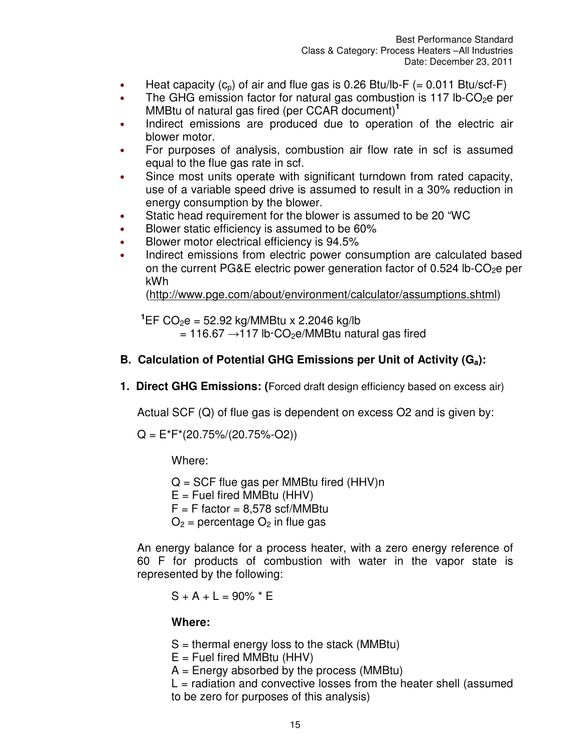- Heat capacity  $(c_p)$  of air and flue gas is 0.26 Btu/lb-F (= 0.011 Btu/scf-F)
- The GHG emission factor for natural gas combustion is 117  $lb$ -CO<sub>2</sub>e per MMBtu of natural gas fired (per CCAR document)**<sup>1</sup>**
- Indirect emissions are produced due to operation of the electric air blower motor.
- For purposes of analysis, combustion air flow rate in scf is assumed equal to the flue gas rate in scf.
- Since most units operate with significant turndown from rated capacity, use of a variable speed drive is assumed to result in a 30% reduction in energy consumption by the blower.
- Static head requirement for the blower is assumed to be 20 "WC
- Blower static efficiency is assumed to be 60%
- Blower motor electrical efficiency is 94.5%
- Indirect emissions from electric power consumption are calculated based on the current PG&E electric power generation factor of  $0.524$  lb-CO<sub>2</sub>e per kWh

(http://www.pge.com/about/environment/calculator/assumptions.shtml)

 $^1$ EF CO<sub>2</sub>e = 52.92 kg/MMBtu x 2.2046 kg/lb  $= 116.67 \rightarrow 117$  lb·CO<sub>2</sub>e/MMBtu natural gas fired

### **B. Calculation of Potential GHG Emissions per Unit of Activity (Ga):**

**1. Direct GHG Emissions: (**Forced draft design efficiency based on excess air)

Actual SCF (Q) of flue gas is dependent on excess O2 and is given by:

 $Q = E*F*(20.75\%/20.75\%-O2))$ 

Where:

 $Q = SCF$  flue gas per MMBtu fired (HHV)n

 $E =$  Fuel fired MMBtu (HHV)

 $F = F$  factor = 8.578 scf/MMBtu

 $O_2$  = percentage  $O_2$  in flue gas

An energy balance for a process heater, with a zero energy reference of 60 F for products of combustion with water in the vapor state is represented by the following:

$$
S + A + L = 90\% * E
$$

#### **Where:**

 $S =$  thermal energy loss to the stack (MMBtu)

 $E =$  Fuel fired MMBtu (HHV)

 $A =$  Energy absorbed by the process (MMBtu)

 $L =$  radiation and convective losses from the heater shell (assumed to be zero for purposes of this analysis)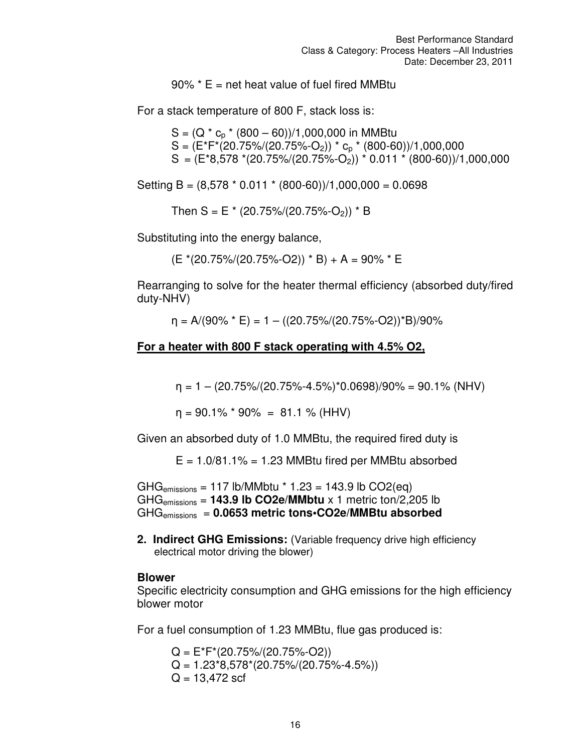$90\%$  \* E = net heat value of fuel fired MMBtu

For a stack temperature of 800 F, stack loss is:

 $S = (Q * c_p * (800 - 60))/1,000,000$  in MMBtu  $S = (E^*F^*(20.75\%/20.75\%-O_2))^* c_p^*(800-60))/1,000,000$  $S = (E*8,578*(20.75)/(20.75)(-0.75)(-0.011*(800-60))/1,000,000$ 

Setting B =  $(8,578 * 0.011 * (800-60))/1,000,000 = 0.0698$ 

Then S = E  $*(20.75\%/20.75\%-O_2))$  \* B

Substituting into the energy balance,

 $(E*(20.75)/(20.75)\div O(2))$  \* B + A = 90% \* E

Rearranging to solve for the heater thermal efficiency (absorbed duty/fired duty-NHV)

 $\eta = A/(90\% * E) = 1 - ((20.75\%/20.75\%-O2))^*B)/90\%$ 

#### **For a heater with 800 F stack operating with 4.5% O2,**

 $\eta = 1 - (20.75\%/20.75\%-4.5\%)^*0.0698)/90\% = 90.1\% (NHV)$ 

 $\eta = 90.1\%$  \* 90% = 81.1 % (HHV)

Given an absorbed duty of 1.0 MMBtu, the required fired duty is

 $E = 1.0/81.1\% = 1.23$  MMBtu fired per MMBtu absorbed

 $GHG<sub>emissions</sub> = 117 lb/MMbtu * 1.23 = 143.9 lb CO2(eq)$ GHGemissions = **143.9 lb CO2e/MMbtu** x 1 metric ton/2,205 lb GHGemissions = **0.0653 metric tons•CO2e/MMBtu absorbed**

**2. Indirect GHG Emissions:** (Variable frequency drive high efficiency electrical motor driving the blower)

#### **Blower**

Specific electricity consumption and GHG emissions for the high efficiency blower motor

For a fuel consumption of 1.23 MMBtu, flue gas produced is:

 $Q = E^*F^*(20.75\%/20.75\%-O2))$  $Q = 1.23*8.578*(20.75%/20.75%-4.5%)$  $Q = 13,472$  scf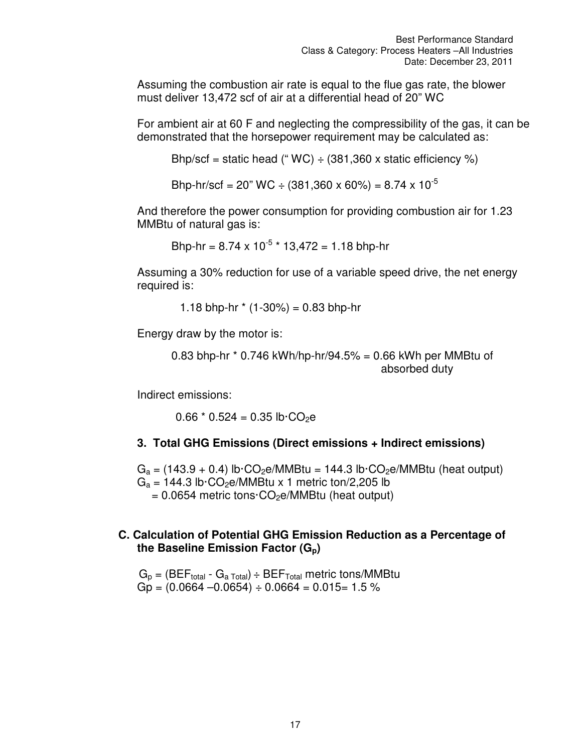Assuming the combustion air rate is equal to the flue gas rate, the blower must deliver 13,472 scf of air at a differential head of 20" WC

For ambient air at 60 F and neglecting the compressibility of the gas, it can be demonstrated that the horsepower requirement may be calculated as:

Bhp/scf = static head (" $WC$ ) ÷ (381,360 x static efficiency %)

Bhp-hr/scf = 20" WC ÷ (381,360 x 60%) = 8.74 x 10<sup>-5</sup>

And therefore the power consumption for providing combustion air for 1.23 MMBtu of natural gas is:

Bhp-hr =  $8.74 \times 10^{-5}$  \*  $13,472 = 1.18$  bhp-hr

Assuming a 30% reduction for use of a variable speed drive, the net energy required is:

1.18 bhp-hr  $*(1-30\%) = 0.83$  bhp-hr

Energy draw by the motor is:

0.83 bhp-hr \* 0.746 kWh/hp-hr/94.5% = 0.66 kWh per MMBtu of absorbed duty

Indirect emissions:

 $0.66 * 0.524 = 0.35$  lb $\cdot CO_2e$ 

#### **3. Total GHG Emissions (Direct emissions + Indirect emissions)**

 $G_a = (143.9 + 0.4)$  lb·CO<sub>2</sub>e/MMBtu = 144.3 lb·CO<sub>2</sub>e/MMBtu (heat output)  $G_a = 144.3$  lb·CO<sub>2</sub>e/MMBtu x 1 metric ton/2,205 lb  $= 0.0654$  metric tons $\cdot CO_2$ e/MMBtu (heat output)

#### **C. Calculation of Potential GHG Emission Reduction as a Percentage of the Baseline Emission Factor (Gp)**

 $G_p = (BEF_{total} - G_{a Total}) \div BEF_{Total}$  metric tons/MMBtu  $Gp = (0.0664 - 0.0654) \div 0.0664 = 0.015 = 1.5 \%$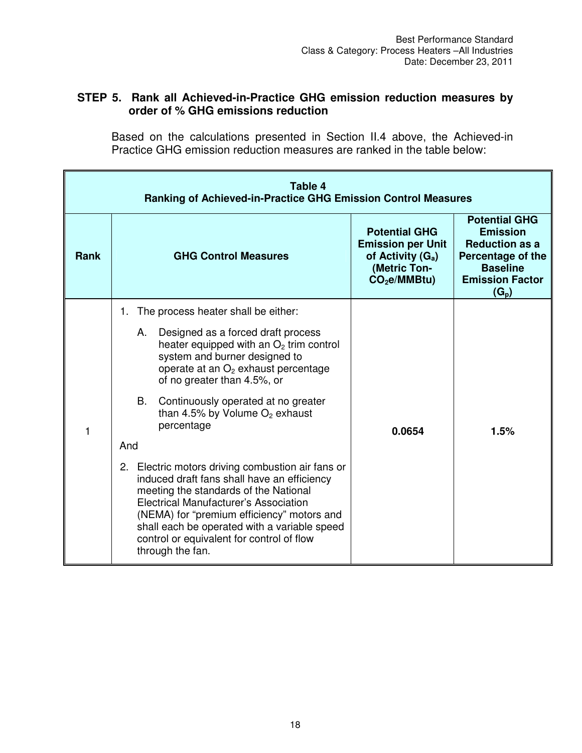#### **STEP 5. Rank all Achieved-in-Practice GHG emission reduction measures by order of % GHG emissions reduction**

Based on the calculations presented in Section II.4 above, the Achieved-in Practice GHG emission reduction measures are ranked in the table below:

| Table 4<br><b>Ranking of Achieved-in-Practice GHG Emission Control Measures</b> |                                                                                                                                                                                                                                                                                                                                                   |                                                                                                           |                                                                                                                                               |
|---------------------------------------------------------------------------------|---------------------------------------------------------------------------------------------------------------------------------------------------------------------------------------------------------------------------------------------------------------------------------------------------------------------------------------------------|-----------------------------------------------------------------------------------------------------------|-----------------------------------------------------------------------------------------------------------------------------------------------|
| <b>Rank</b>                                                                     | <b>GHG Control Measures</b>                                                                                                                                                                                                                                                                                                                       | <b>Potential GHG</b><br><b>Emission per Unit</b><br>of Activity $(G_a)$<br>(Metric Ton-<br>$CO2e/MMBtu$ ) | <b>Potential GHG</b><br><b>Emission</b><br><b>Reduction as a</b><br>Percentage of the<br><b>Baseline</b><br><b>Emission Factor</b><br>$(G_p)$ |
|                                                                                 | 1. The process heater shall be either:                                                                                                                                                                                                                                                                                                            |                                                                                                           | 1.5%                                                                                                                                          |
| 1                                                                               | А.<br>Designed as a forced draft process<br>heater equipped with an $O2$ trim control<br>system and burner designed to<br>operate at an O <sub>2</sub> exhaust percentage<br>of no greater than 4.5%, or                                                                                                                                          |                                                                                                           |                                                                                                                                               |
|                                                                                 | B.<br>Continuously operated at no greater<br>than 4.5% by Volume $O_2$ exhaust<br>percentage                                                                                                                                                                                                                                                      | 0.0654                                                                                                    |                                                                                                                                               |
|                                                                                 | And                                                                                                                                                                                                                                                                                                                                               |                                                                                                           |                                                                                                                                               |
|                                                                                 | 2. Electric motors driving combustion air fans or<br>induced draft fans shall have an efficiency<br>meeting the standards of the National<br>Electrical Manufacturer's Association<br>(NEMA) for "premium efficiency" motors and<br>shall each be operated with a variable speed<br>control or equivalent for control of flow<br>through the fan. |                                                                                                           |                                                                                                                                               |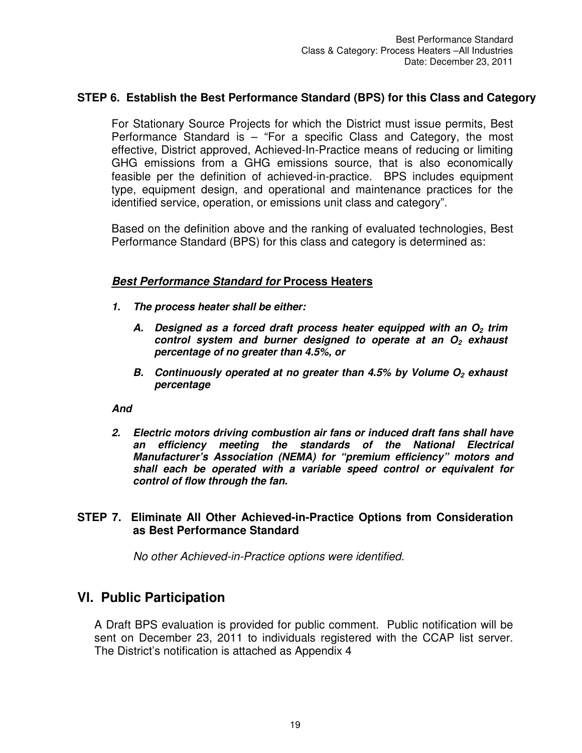#### **STEP 6. Establish the Best Performance Standard (BPS) for this Class and Category**

For Stationary Source Projects for which the District must issue permits, Best Performance Standard is – "For a specific Class and Category, the most effective, District approved, Achieved-In-Practice means of reducing or limiting GHG emissions from a GHG emissions source, that is also economically feasible per the definition of achieved-in-practice. BPS includes equipment type, equipment design, and operational and maintenance practices for the identified service, operation, or emissions unit class and category".

Based on the definition above and the ranking of evaluated technologies, Best Performance Standard (BPS) for this class and category is determined as:

#### *Best Performance Standard for* **Process Heaters**

- *1. The process heater shall be either:* 
	- *A. Designed as a forced draft process heater equipped with an O2 trim control system and burner designed to operate at an O2 exhaust percentage of no greater than 4.5%, or*
	- *B. Continuously operated at no greater than 4.5% by Volume O2 exhaust percentage*

#### *And*

*2. Electric motors driving combustion air fans or induced draft fans shall have an efficiency meeting the standards of the National Electrical Manufacturer's Association (NEMA) for "premium efficiency" motors and shall each be operated with a variable speed control or equivalent for control of flow through the fan.* 

#### **STEP 7. Eliminate All Other Achieved-in-Practice Options from Consideration as Best Performance Standard**

*No other Achieved-in-Practice options were identified.* 

### **Vl. Public Participation**

A Draft BPS evaluation is provided for public comment. Public notification will be sent on December 23, 2011 to individuals registered with the CCAP list server. The District's notification is attached as Appendix 4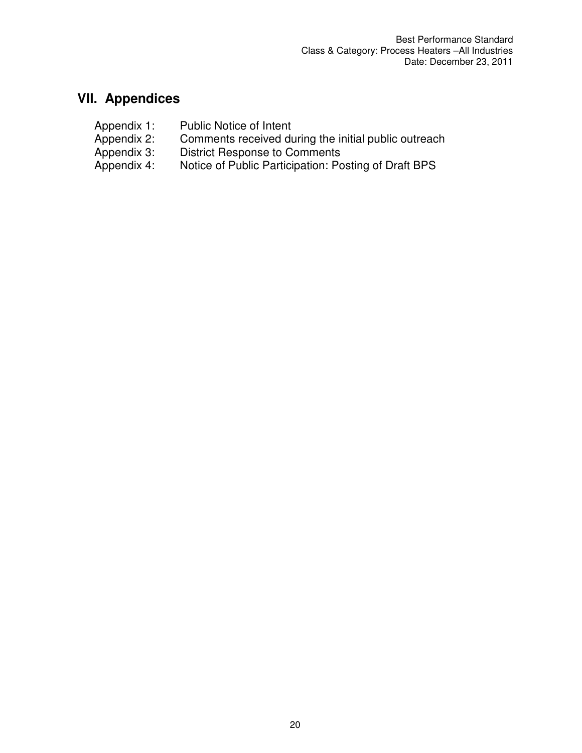# **VII. Appendices**

Appendix 1: Public Notice of Intent<br>Appendix 2: Comments received du<br>Appendix 3: District Response to C Appendix 2: Comments received during the initial public outreach Appendix 3: District Response to Comments Appendix 4: Notice of Public Participation: Posting of Draft BPS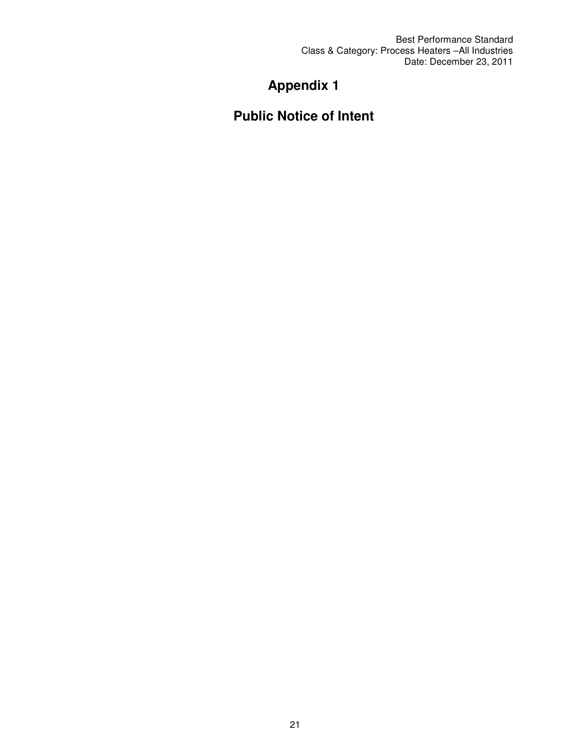Best Performance Standard Class & Category: Process Heaters –All Industries Date: December 23, 2011

# **Appendix 1**

# **Public Notice of Intent**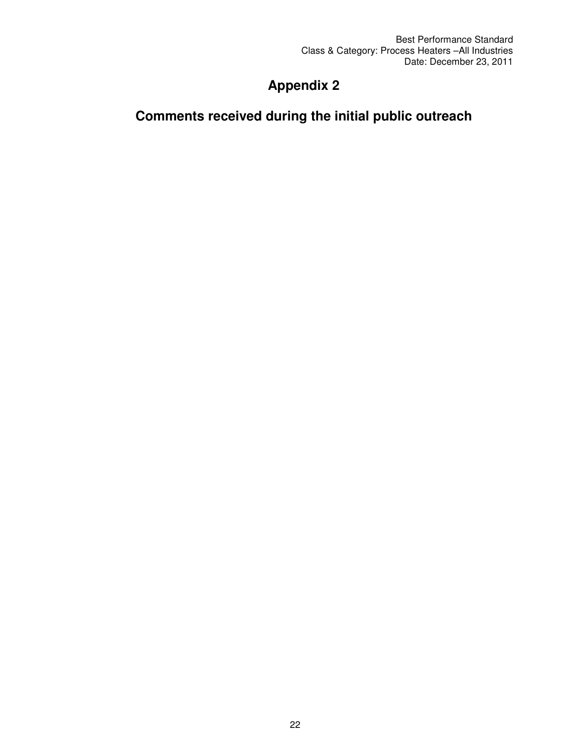# **Appendix 2**

# **Comments received during the initial public outreach**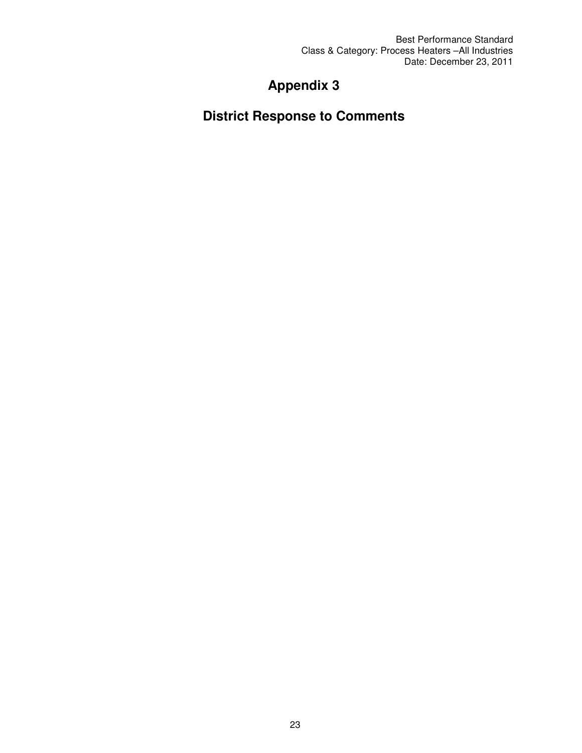Best Performance Standard Class & Category: Process Heaters –All Industries Date: December 23, 2011

# **Appendix 3**

**District Response to Comments**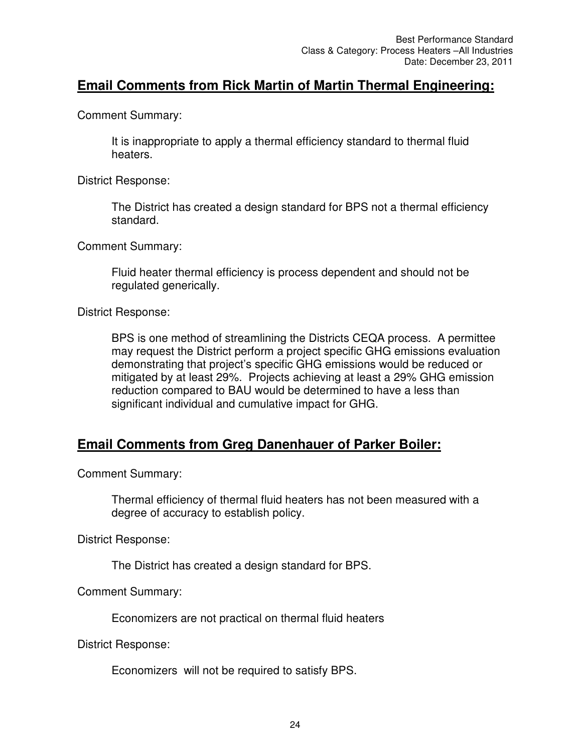## **Email Comments from Rick Martin of Martin Thermal Engineering:**

Comment Summary:

It is inappropriate to apply a thermal efficiency standard to thermal fluid heaters.

District Response:

The District has created a design standard for BPS not a thermal efficiency standard.

Comment Summary:

Fluid heater thermal efficiency is process dependent and should not be regulated generically.

District Response:

BPS is one method of streamlining the Districts CEQA process. A permittee may request the District perform a project specific GHG emissions evaluation demonstrating that project's specific GHG emissions would be reduced or mitigated by at least 29%. Projects achieving at least a 29% GHG emission reduction compared to BAU would be determined to have a less than significant individual and cumulative impact for GHG.

## **Email Comments from Greg Danenhauer of Parker Boiler:**

Comment Summary:

Thermal efficiency of thermal fluid heaters has not been measured with a degree of accuracy to establish policy.

District Response:

The District has created a design standard for BPS.

Comment Summary:

Economizers are not practical on thermal fluid heaters

District Response:

Economizers will not be required to satisfy BPS.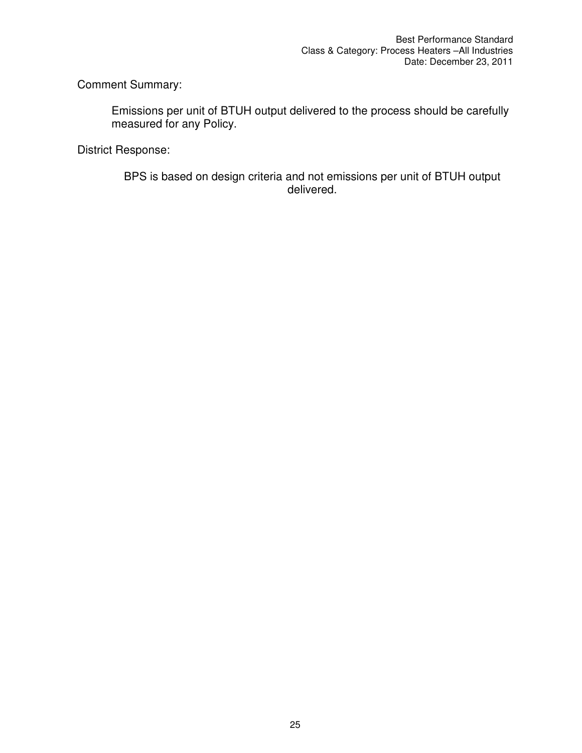Comment Summary:

Emissions per unit of BTUH output delivered to the process should be carefully measured for any Policy.

District Response:

BPS is based on design criteria and not emissions per unit of BTUH output delivered.